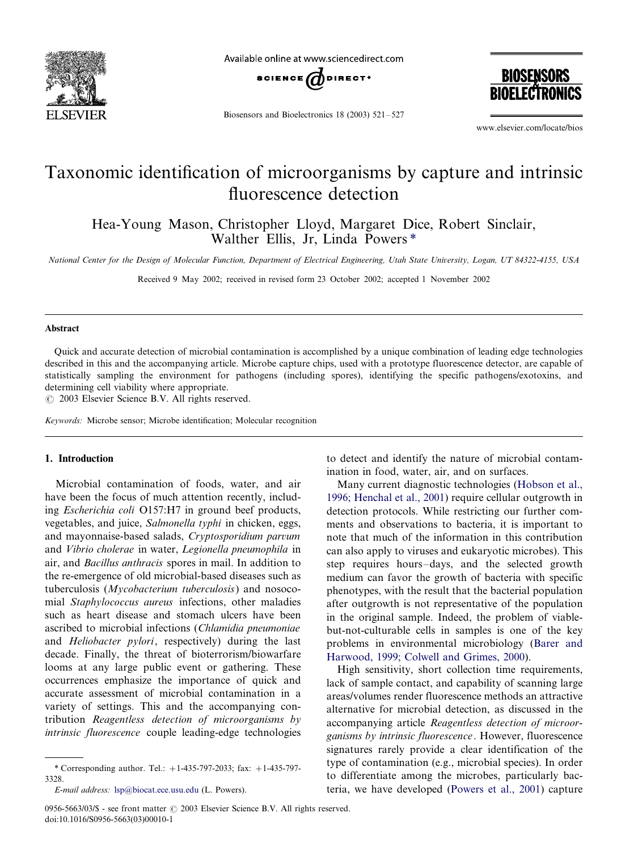

Available online at www.sciencedirect.com



Biosensors and Bioelectronics 18 (2003)  $521-527$ 

**BIOSENSORS BIOELECTRO** 

www.elsevier.com/locate/bios

# Taxonomic identification of microorganisms by capture and intrinsic fluorescence detection

Hea-Young Mason, Christopher Lloyd, Margaret Dice, Robert Sinclair, Walther Ellis, Jr, Linda Powers \*

National Center for the Design of Molecular Function, Department of Electrical Engineering, Utah State University, Logan, UT 84322-4155, USA

Received 9 May 2002; received in revised form 23 October 2002; accepted 1 November 2002

#### Abstract

Quick and accurate detection of microbial contamination is accomplished by a unique combination of leading edge technologies described in this and the accompanying article. Microbe capture chips, used with a prototype fluorescence detector, are capable of statistically sampling the environment for pathogens (including spores), identifying the specific pathogens/exotoxins, and determining cell viability where appropriate.

 $\odot$  2003 Elsevier Science B.V. All rights reserved.

Keywords: Microbe sensor; Microbe identification; Molecular recognition

## 1. Introduction

Microbial contamination of foods, water, and air have been the focus of much attention recently, including Escherichia coli O157:H7 in ground beef products, vegetables, and juice, Salmonella typhi in chicken, eggs, and mayonnaise-based salads, Cryptosporidium parvum and Vibrio cholerae in water, Legionella pneumophila in air, and Bacillus anthracis spores in mail. In addition to the re-emergence of old microbial-based diseases such as tuberculosis (Mycobacterium tuberculosis) and nosocomial Staphylococcus aureus infections, other maladies such as heart disease and stomach ulcers have been ascribed to microbial infections (Chlamidia pneumoniae and Heliobacter pylori, respectively) during the last decade. Finally, the threat of bioterrorism/biowarfare looms at any large public event or gathering. These occurrences emphasize the importance of quick and accurate assessment of microbial contamination in a variety of settings. This and the accompanying contribution Reagentless detection of microorganisms by intrinsic fluorescence couple leading-edge technologies

to detect and identify the nature of microbial contamination in food, water, air, and on surfaces.

Many current diagnostic technologies ([Hobson et al.,](#page-5-0) [1996; Henchal et al., 2001](#page-5-0)) require cellular outgrowth in detection protocols. While restricting our further comments and observations to bacteria, it is important to note that much of the information in this contribution can also apply to viruses and eukaryotic microbes). This step requires hours-days, and the selected growth medium can favor the growth of bacteria with specific phenotypes, with the result that the bacterial population after outgrowth is not representative of the population in the original sample. Indeed, the problem of viablebut-not-culturable cells in samples is one of the key problems in environmental microbiology [\(Barer and](#page-5-0) [Harwood, 1999; Colwell and Grimes, 2000\)](#page-5-0).

High sensitivity, short collection time requirements, lack of sample contact, and capability of scanning large areas/volumes render fluorescence methods an attractive alternative for microbial detection, as discussed in the accompanying article Reagentless detection of microorganisms by intrinsic fluorescence. However, fluorescence signatures rarely provide a clear identification of the type of contamination (e.g., microbial species). In order to differentiate among the microbes, particularly bacteria, we have developed ([Powers et al., 2001\)](#page-6-0) capture

<sup>\*</sup> Corresponding author. Tel.:  $+1-435-797-2033$ ; fax:  $+1-435-797-$ 3328.

E-mail address: [lsp@biocat.ece.usu.edu](mailto:lsp@biocat.ece.usu.edu) (L. Powers).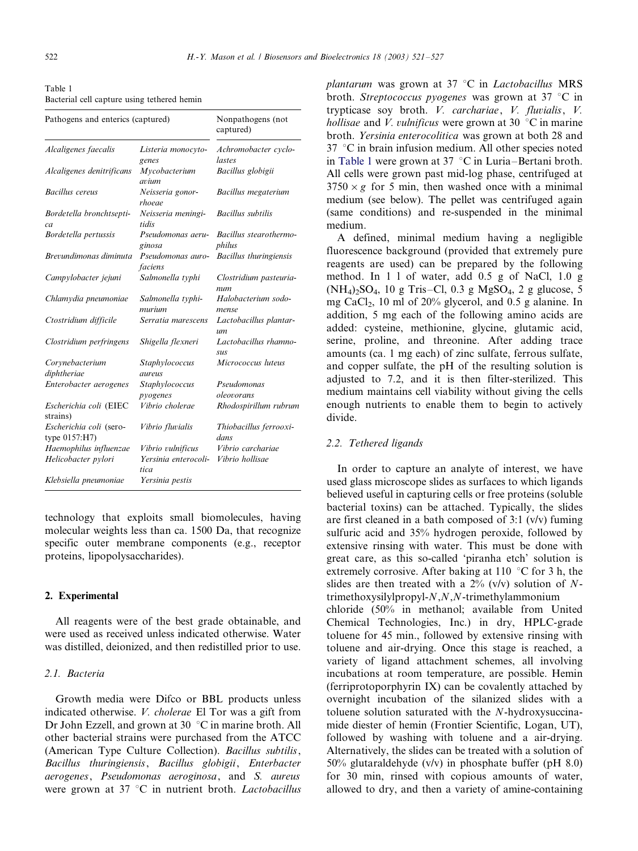<span id="page-1-0"></span>

| Table 1                                     |  |
|---------------------------------------------|--|
| Bacterial cell capture using tethered hemin |  |

| Pathogens and enterics (captured)        | Nonpathogens (not<br>captured) |                                            |
|------------------------------------------|--------------------------------|--------------------------------------------|
| Alcaligenes faecalis                     | Listeria monocyto-<br>genes    | Achromobacter cyclo-<br>lastes             |
| Alcaligenes denitrificans                | Mycobacterium<br>avium         | Bacillus globigii                          |
| <b>Bacillus</b> cereus                   | Neisseria gonor-<br>rhoeae     | Bacillus megaterium                        |
| Bordetella bronchtsepti-<br>ca           | Neisseria meningi-<br>tidis    | <b>Bacillus</b> subtilis                   |
| Bordetella pertussis                     | Pseudomonas aeru-<br>ginosa    | Bacillus stearothermo-<br>philus           |
| Brevundimonas diminuta                   | Pseudomonas auro-<br>faciens   | Bacillus thuringiensis                     |
| Campylobacter jejuni                     | Salmonella typhi               | Clostridium pasteuria-<br>num              |
| Chlamydia pneumoniae                     | Salmonella typhi-<br>murium    | Halobacterium sodo-<br>mense               |
| Ctostridium difficile                    | Serratia marescens             | Lactobacillus plantar-<br>$\iota$ <i>m</i> |
| Clostridium perfringens                  | Shigella flexneri              | Lactobacillus rhamno-<br><b>SUS</b>        |
| Corynebacterium<br>diphtheriae           | Staphylococcus<br>aureus       | Micrococcus luteus                         |
| Enterobacter aerogenes                   | Staphylococcus<br>pyogenes     | Pseudomonas<br>oleovorans                  |
| Escherichia coli (EIEC<br>strains)       | Vibrio cholerae                | Rhodospirillum rubrum                      |
| Escherichia coli (sero-<br>type 0157:H7) | Vibrio fluvialis               | Thiobacillus ferrooxi-<br>dans             |
| Haemophilus influenzae                   | Vibrio vulnificus              | Vibrio carchariae                          |
| Helicobacter pylori                      | Yersinia enterocoli-<br>tica   | Vibrio hollisae                            |
| Klebsiella pneumoniae                    | Yersinia pestis                |                                            |

technology that exploits small biomolecules, having molecular weights less than ca. 1500 Da, that recognize specific outer membrane components (e.g., receptor proteins, lipopolysaccharides).

## 2. Experimental

All reagents were of the best grade obtainable, and were used as received unless indicated otherwise. Water was distilled, deionized, and then redistilled prior to use.

### 2.1. Bacteria

Growth media were Difco or BBL products unless indicated otherwise. V. cholerae El Tor was a gift from Dr John Ezzell, and grown at 30  $\degree$ C in marine broth. All other bacterial strains were purchased from the ATCC (American Type Culture Collection). Bacillus subtilis, Bacillus thuringiensis, Bacillus globigii, Enterbacter aerogenes, Pseudomonas aeroginosa, and S. aureus were grown at 37  $\degree$ C in nutrient broth. *Lactobacillus*  plantarum was grown at 37  $\degree$ C in *Lactobacillus* MRS broth. Streptococcus pyogenes was grown at 37  $\degree$ C in trypticase soy broth. V. carchariae, V. fluvialis, V. *hollisae* and *V. vulnificus* were grown at 30  $\degree$ C in marine broth. Yersinia enterocolitica was grown at both 28 and  $37$  °C in brain infusion medium. All other species noted in Table 1 were grown at  $37 \text{ °C}$  in Luria–Bertani broth. All cells were grown past mid-log phase, centrifuged at  $3750 \times g$  for 5 min, then washed once with a minimal medium (see below). The pellet was centrifuged again (same conditions) and re-suspended in the minimal medium.

A defined, minimal medium having a negligible fluorescence background (provided that extremely pure reagents are used) can be prepared by the following method. In 1 l of water, add 0.5 g of NaCl, 1.0 g  $(NH_4)_2SO_4$ , 10 g Tris-Cl, 0.3 g MgSO<sub>4</sub>, 2 g glucose, 5 mg CaCl2, 10 ml of 20% glycerol, and 0.5 g alanine. In addition, 5 mg each of the following amino acids are added: cysteine, methionine, glycine, glutamic acid, serine, proline, and threonine. After adding trace amounts (ca. 1 mg each) of zinc sulfate, ferrous sulfate, and copper sulfate, the pH of the resulting solution is adjusted to 7.2, and it is then filter-sterilized. This medium maintains cell viability without giving the cells enough nutrients to enable them to begin to actively divide.

### 2.2. Tethered ligands

In order to capture an analyte of interest, we have used glass microscope slides as surfaces to which ligands believed useful in capturing cells or free proteins (soluble bacterial toxins) can be attached. Typically, the slides are first cleaned in a bath composed of 3:1 (v/v) fuming sulfuric acid and 35% hydrogen peroxide, followed by extensive rinsing with water. This must be done with great care, as this so-called 'piranha etch' solution is extremely corrosive. After baking at 110  $\degree$ C for 3 h, the slides are then treated with a  $2\%$  (v/v) solution of Ntrimethoxysilylpropyl-N,N,N-trimethylammonium chloride (50% in methanol; available from United Chemical Technologies, Inc.) in dry, HPLC-grade toluene for 45 min., followed by extensive rinsing with toluene and air-drying. Once this stage is reached, a variety of ligand attachment schemes, all involving incubations at room temperature, are possible. Hemin (ferriprotoporphyrin IX) can be covalently attached by overnight incubation of the silanized slides with a toluene solution saturated with the N-hydroxysuccinamide diester of hemin (Frontier Scientific, Logan, UT), followed by washing with toluene and a air-drying. Alternatively, the slides can be treated with a solution of 50% glutaraldehyde  $(v/v)$  in phosphate buffer (pH 8.0) for 30 min, rinsed with copious amounts of water, allowed to dry, and then a variety of amine-containing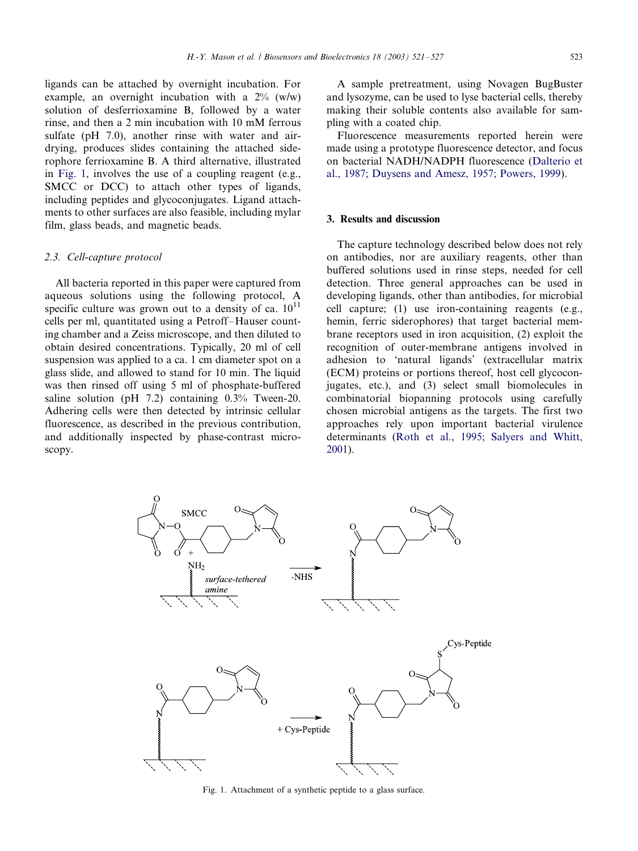ligands can be attached by overnight incubation. For example, an overnight incubation with a  $2\%$  (w/w) solution of desferrioxamine B, followed by a water rinse, and then a 2 min incubation with 10 mM ferrous sulfate (pH 7.0), another rinse with water and airdrying, produces slides containing the attached siderophore ferrioxamine B. A third alternative, illustrated in Fig. 1, involves the use of a coupling reagent (e.g., SMCC or DCC) to attach other types of ligands, including peptides and glycoconjugates. Ligand attachments to other surfaces are also feasible, including mylar film, glass beads, and magnetic beads.

## 2.3. Cell-capture protocol

All bacteria reported in this paper were captured from aqueous solutions using the following protocol, A specific culture was grown out to a density of ca.  $10^{11}$ cells per ml, quantitated using a Petroff-Hauser counting chamber and a Zeiss microscope, and then diluted to obtain desired concentrations. Typically, 20 ml of cell suspension was applied to a ca. 1 cm diameter spot on a glass slide, and allowed to stand for 10 min. The liquid was then rinsed off using 5 ml of phosphate-buffered saline solution (pH 7.2) containing 0.3% Tween-20. Adhering cells were then detected by intrinsic cellular fluorescence, as described in the previous contribution, and additionally inspected by phase-contrast microscopy.

A sample pretreatment, using Novagen BugBuster and lysozyme, can be used to lyse bacterial cells, thereby making their soluble contents also available for sampling with a coated chip.

Fluorescence measurements reported herein were made using a prototype fluorescence detector, and focus on bacterial NADH/NADPH fluorescence ([Dalterio et](#page-5-0) [al., 1987; Duysens and Amesz, 1957; Powers, 1999\)](#page-5-0).

## 3. Results and discussion

The capture technology described below does not rely on antibodies, nor are auxiliary reagents, other than buffered solutions used in rinse steps, needed for cell detection. Three general approaches can be used in developing ligands, other than antibodies, for microbial cell capture; (1) use iron-containing reagents (e.g., hemin, ferric siderophores) that target bacterial membrane receptors used in iron acquisition, (2) exploit the recognition of outer-membrane antigens involved in adhesion to 'natural ligands' (extracellular matrix (ECM) proteins or portions thereof, host cell glycoconjugates, etc.), and (3) select small biomolecules in combinatorial biopanning protocols using carefully chosen microbial antigens as the targets. The first two approaches rely upon important bacterial virulence determinants ([Roth et al., 1995; Salyers and Whitt,](#page-6-0) [2001\)](#page-6-0).



Fig. 1. Attachment of a synthetic peptide to a glass surface.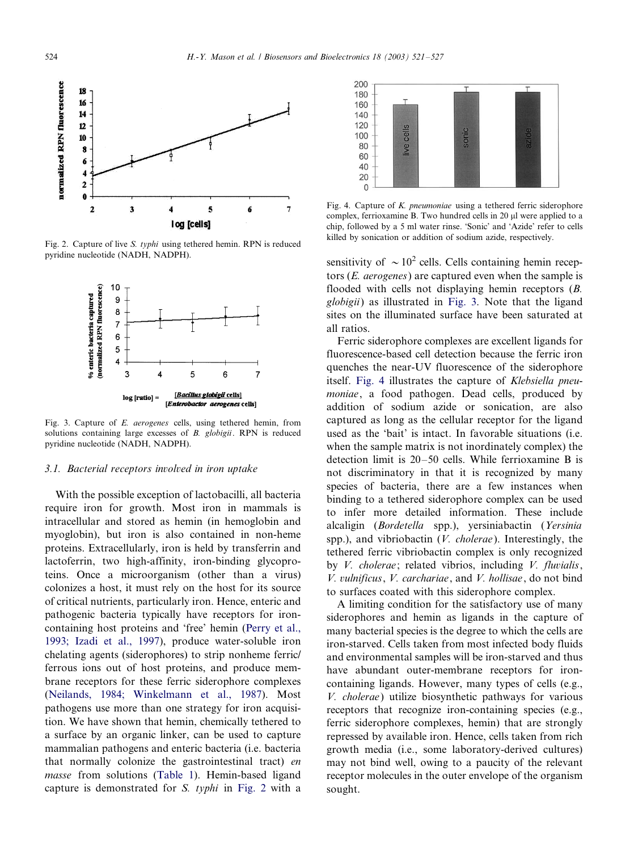

Fig. 2. Capture of live S. typhi using tethered hemin. RPN is reduced pyridine nucleotide (NADH, NADPH).



Fig. 3. Capture of E. aerogenes cells, using tethered hemin, from solutions containing large excesses of B. globigii. RPN is reduced pyridine nucleotide (NADH, NADPH).

#### 3.1. Bacterial receptors involved in iron uptake

With the possible exception of lactobacilli, all bacteria require iron for growth. Most iron in mammals is intracellular and stored as hemin (in hemoglobin and myoglobin), but iron is also contained in non-heme proteins. Extracellularly, iron is held by transferrin and lactoferrin, two high-affinity, iron-binding glycoproteins. Once a microorganism (other than a virus) colonizes a host, it must rely on the host for its source of critical nutrients, particularly iron. Hence, enteric and pathogenic bacteria typically have receptors for ironcontaining host proteins and 'free' hemin [\(Perry et al.,](#page-6-0) [1993; Izadi et al., 1997\)](#page-6-0), produce water-soluble iron chelating agents (siderophores) to strip nonheme ferric/ ferrous ions out of host proteins, and produce membrane receptors for these ferric siderophore complexes [\(Neilands, 1984; Winkelmann et al., 1987](#page-6-0)). Most pathogens use more than one strategy for iron acquisition. We have shown that hemin, chemically tethered to a surface by an organic linker, can be used to capture mammalian pathogens and enteric bacteria (i.e. bacteria that normally colonize the gastrointestinal tract) en masse from solutions [\(Table 1](#page-1-0)). Hemin-based ligand capture is demonstrated for S. typhi in Fig. 2 with a



Fig. 4. Capture of K. pneumoniae using a tethered ferric siderophore complex, ferrioxamine B. Two hundred cells in 20 ul were applied to a chip, followed by a 5 ml water rinse. 'Sonic' and 'Azide' refer to cells killed by sonication or addition of sodium azide, respectively.

sensitivity of  $\sim 10^2$  cells. Cells containing hemin receptors  $(E.$  *aerogenes*) are captured even when the sample is flooded with cells not displaying hemin receptors (B. globigii) as illustrated in Fig. 3. Note that the ligand sites on the illuminated surface have been saturated at all ratios.

Ferric siderophore complexes are excellent ligands for fluorescence-based cell detection because the ferric iron quenches the near-UV fluorescence of the siderophore itself. Fig. 4 illustrates the capture of Klebsiella pneumoniae, a food pathogen. Dead cells, produced by addition of sodium azide or sonication, are also captured as long as the cellular receptor for the ligand used as the 'bait' is intact. In favorable situations (i.e. when the sample matrix is not inordinately complex) the detection limit is  $20-50$  cells. While ferrioxamine B is not discriminatory in that it is recognized by many species of bacteria, there are a few instances when binding to a tethered siderophore complex can be used to infer more detailed information. These include alcaligin (Bordetella spp.), yersiniabactin (Yersinia spp.), and vibriobactin (*V. cholerae*). Interestingly, the tethered ferric vibriobactin complex is only recognized by *V. cholerae*; related vibrios, including *V. fluvialis*, V. vulnificus, V. carchariae, and V. hollisae, do not bind to surfaces coated with this siderophore complex.

A limiting condition for the satisfactory use of many siderophores and hemin as ligands in the capture of many bacterial species is the degree to which the cells are iron-starved. Cells taken from most infected body fluids and environmental samples will be iron-starved and thus have abundant outer-membrane receptors for ironcontaining ligands. However, many types of cells (e.g., V. cholerae) utilize biosynthetic pathways for various receptors that recognize iron-containing species (e.g., ferric siderophore complexes, hemin) that are strongly repressed by available iron. Hence, cells taken from rich growth media (i.e., some laboratory-derived cultures) may not bind well, owing to a paucity of the relevant receptor molecules in the outer envelope of the organism sought.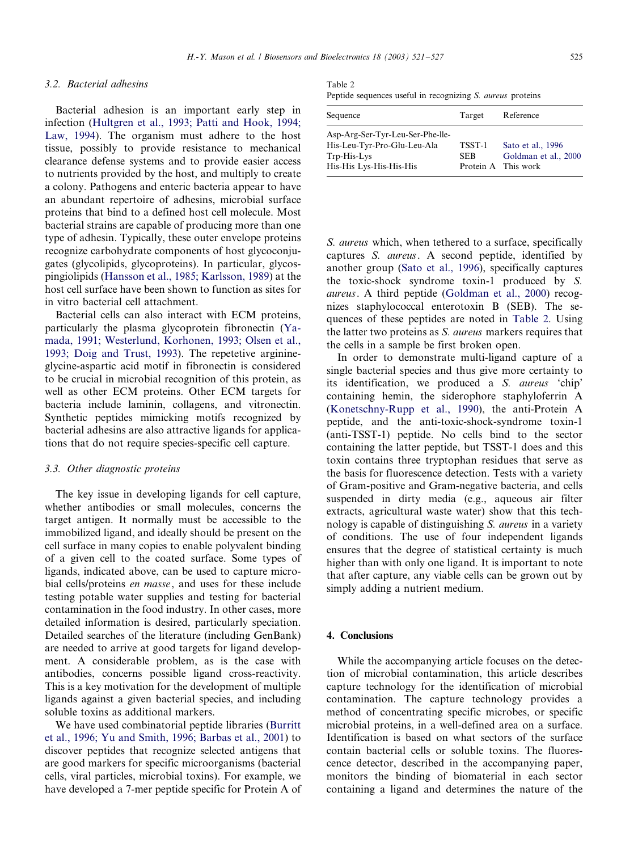### 3.2. Bacterial adhesins

Bacterial adhesion is an important early step in infection [\(Hultgren et al., 1993; Patti and Hook, 1994;](#page-6-0) [Law, 1994](#page-6-0)). The organism must adhere to the host tissue, possibly to provide resistance to mechanical clearance defense systems and to provide easier access to nutrients provided by the host, and multiply to create a colony. Pathogens and enteric bacteria appear to have an abundant repertoire of adhesins, microbial surface proteins that bind to a defined host cell molecule. Most bacterial strains are capable of producing more than one type of adhesin. Typically, these outer envelope proteins recognize carbohydrate components of host glycoconjugates (glycolipids, glycoproteins). In particular, glycospingiolipids [\(Hansson et al., 1985; Karlsson, 1989](#page-5-0)) at the host cell surface have been shown to function as sites for in vitro bacterial cell attachment.

Bacterial cells can also interact with ECM proteins, particularly the plasma glycoprotein fibronectin ([Ya](#page-6-0)[mada, 1991; Westerlund, Korhonen, 1993; Olsen et al.,](#page-6-0) [1993; Doig and Trust, 1993\)](#page-6-0). The repetetive arginineglycine-aspartic acid motif in fibronectin is considered to be crucial in microbial recognition of this protein, as well as other ECM proteins. Other ECM targets for bacteria include laminin, collagens, and vitronectin. Synthetic peptides mimicking motifs recognized by bacterial adhesins are also attractive ligands for applications that do not require species-specific cell capture.

#### 3.3. Other diagnostic proteins

The key issue in developing ligands for cell capture, whether antibodies or small molecules, concerns the target antigen. It normally must be accessible to the immobilized ligand, and ideally should be present on the cell surface in many copies to enable polyvalent binding of a given cell to the coated surface. Some types of ligands, indicated above, can be used to capture microbial cells/proteins en masse, and uses for these include testing potable water supplies and testing for bacterial contamination in the food industry. In other cases, more detailed information is desired, particularly speciation. Detailed searches of the literature (including GenBank) are needed to arrive at good targets for ligand development. A considerable problem, as is the case with antibodies, concerns possible ligand cross-reactivity. This is a key motivation for the development of multiple ligands against a given bacterial species, and including soluble toxins as additional markers.

We have used combinatorial peptide libraries ([Burritt](#page-5-0) [et al., 1996; Yu and Smith, 1996; Barbas et al., 2001\)](#page-5-0) to discover peptides that recognize selected antigens that are good markers for specific microorganisms (bacterial cells, viral particles, microbial toxins). For example, we have developed a 7-mer peptide specific for Protein A of

Table 2

| Peptide sequences useful in recognizing S. <i>aureus</i> proteins |  |
|-------------------------------------------------------------------|--|
|-------------------------------------------------------------------|--|

| Sequence                                                                                                  | Target         | Reference                                                        |
|-----------------------------------------------------------------------------------------------------------|----------------|------------------------------------------------------------------|
| Asp-Arg-Ser-Tyr-Leu-Ser-Phe-lle-<br>His-Leu-Tyr-Pro-Glu-Leu-Ala<br>Trp-His-Lys<br>His-His Lys-His-His-His | TSST-1<br>SEB. | Sato et al., 1996<br>Goldman et al., 2000<br>Protein A This work |
|                                                                                                           |                |                                                                  |

S. aureus which, when tethered to a surface, specifically captures S. aureus. A second peptide, identified by another group ([Sato et al., 1996](#page-6-0)), specifically captures the toxic-shock syndrome toxin-1 produced by S. aureus. A third peptide ([Goldman et al., 2000\)](#page-5-0) recognizes staphylococcal enterotoxin B (SEB). The sequences of these peptides are noted in Table 2. Using the latter two proteins as S. aureus markers requires that the cells in a sample be first broken open.

In order to demonstrate multi-ligand capture of a single bacterial species and thus give more certainty to its identification, we produced a S. aureus 'chip' containing hemin, the siderophore staphyloferrin A [\(Konetschny-Rupp et al., 1990\)](#page-6-0), the anti-Protein A peptide, and the anti-toxic-shock-syndrome toxin-1 (anti-TSST-1) peptide. No cells bind to the sector containing the latter peptide, but TSST-1 does and this toxin contains three tryptophan residues that serve as the basis for fluorescence detection. Tests with a variety of Gram-positive and Gram-negative bacteria, and cells suspended in dirty media (e.g., aqueous air filter extracts, agricultural waste water) show that this technology is capable of distinguishing S. aureus in a variety of conditions. The use of four independent ligands ensures that the degree of statistical certainty is much higher than with only one ligand. It is important to note that after capture, any viable cells can be grown out by simply adding a nutrient medium.

## 4. Conclusions

While the accompanying article focuses on the detection of microbial contamination, this article describes capture technology for the identification of microbial contamination. The capture technology provides a method of concentrating specific microbes, or specific microbial proteins, in a well-defined area on a surface. Identification is based on what sectors of the surface contain bacterial cells or soluble toxins. The fluorescence detector, described in the accompanying paper, monitors the binding of biomaterial in each sector containing a ligand and determines the nature of the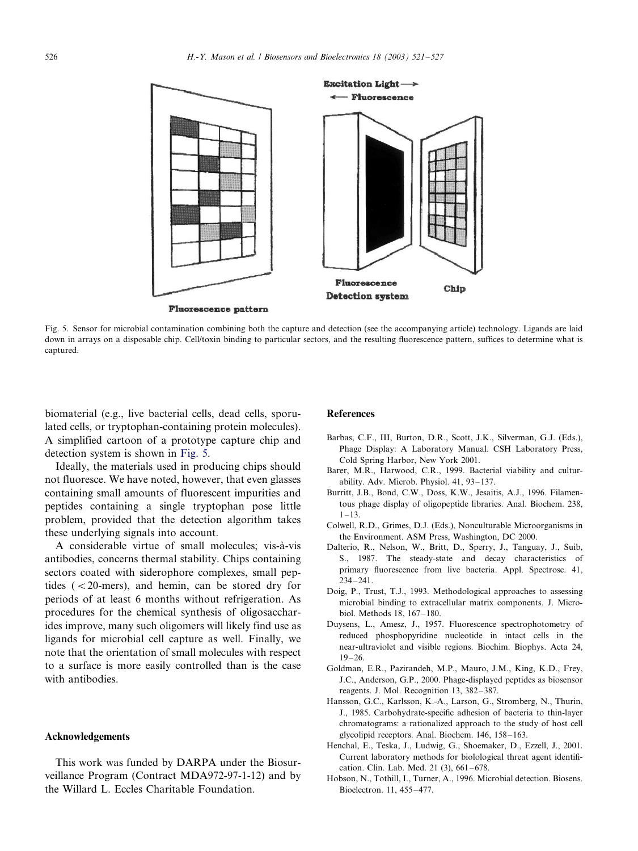<span id="page-5-0"></span>

Fig. 5. Sensor for microbial contamination combining both the capture and detection (see the accompanying article) technology. Ligands are laid down in arrays on a disposable chip. Cell/toxin binding to particular sectors, and the resulting fluorescence pattern, suffices to determine what is captured.

biomaterial (e.g., live bacterial cells, dead cells, sporulated cells, or tryptophan-containing protein molecules). A simplified cartoon of a prototype capture chip and detection system is shown in Fig. 5.

Ideally, the materials used in producing chips should not fluoresce. We have noted, however, that even glasses containing small amounts of fluorescent impurities and peptides containing a single tryptophan pose little problem, provided that the detection algorithm takes these underlying signals into account.

A considerable virtue of small molecules; vis-à-vis antibodies, concerns thermal stability. Chips containing sectors coated with siderophore complexes, small peptides  $( $20$ -mers)$ , and hemin, can be stored dry for periods of at least 6 months without refrigeration. As procedures for the chemical synthesis of oligosaccharides improve, many such oligomers will likely find use as ligands for microbial cell capture as well. Finally, we note that the orientation of small molecules with respect to a surface is more easily controlled than is the case with antibodies.

#### Acknowledgements

This work was funded by DARPA under the Biosurveillance Program (Contract MDA972-97-1-12) and by the Willard L. Eccles Charitable Foundation.

#### **References**

- Barbas, C.F., III, Burton, D.R., Scott, J.K., Silverman, G.J. (Eds.), Phage Display: A Laboratory Manual. CSH Laboratory Press, Cold Spring Harbor, New York 2001.
- Barer, M.R., Harwood, C.R., 1999. Bacterial viability and culturability. Adv. Microb. Physiol.  $41, 93-137$ .
- Burritt, J.B., Bond, C.W., Doss, K.W., Jesaitis, A.J., 1996. Filamentous phage display of oligopeptide libraries. Anal. Biochem. 238,  $1 - 13$
- Colwell, R.D., Grimes, D.J. (Eds.), Nonculturable Microorganisms in the Environment. ASM Press, Washington, DC 2000.
- Dalterio, R., Nelson, W., Britt, D., Sperry, J., Tanguay, J., Suib, S., 1987. The steady-state and decay characteristics of primary fluorescence from live bacteria. Appl. Spectrosc. 41,  $234 - 241$ .
- Doig, P., Trust, T.J., 1993. Methodological approaches to assessing microbial binding to extracellular matrix components. J. Microbiol. Methods  $18, 167-180$ .
- Duysens, L., Amesz, J., 1957. Fluorescence spectrophotometry of reduced phosphopyridine nucleotide in intact cells in the near-ultraviolet and visible regions. Biochim. Biophys. Acta 24,  $19 - 26.$
- Goldman, E.R., Pazirandeh, M.P., Mauro, J.M., King, K.D., Frey, J.C., Anderson, G.P., 2000. Phage-displayed peptides as biosensor reagents. J. Mol. Recognition 13, 382-387.
- Hansson, G.C., Karlsson, K.-A., Larson, G., Stromberg, N., Thurin, J., 1985. Carbohydrate-specific adhesion of bacteria to thin-layer chromatograms: a rationalized approach to the study of host cell glycolipid receptors. Anal. Biochem.  $146$ ,  $158-163$ .
- Henchal, E., Teska, J., Ludwig, G., Shoemaker, D., Ezzell, J., 2001. Current laboratory methods for biolological threat agent identification. Clin. Lab. Med. 21 (3), 661-678.
- Hobson, N., Tothill, I., Turner, A., 1996. Microbial detection. Biosens. Bioelectron. 11, 455-477.